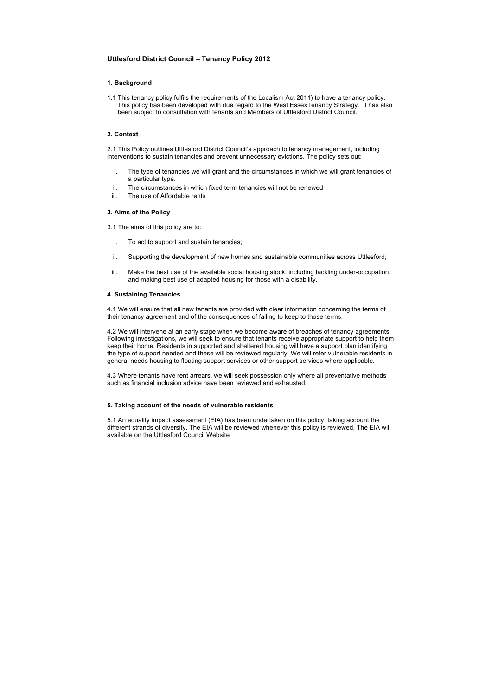# **Uttlesford District Council – Tenancy Policy 2012**

# **1. Background**

1.1 This tenancy policy fulfils the requirements of the Localism Act 2011) to have a tenancy policy. This policy has been developed with due regard to the West EssexTenancy Strategy. It has also been subject to consultation with tenants and Members of Uttlesford District Council.

# **2. Context**

2.1 This Policy outlines Uttlesford District Council's approach to tenancy management, including interventions to sustain tenancies and prevent unnecessary evictions. The policy sets out:

- i. The type of tenancies we will grant and the circumstances in which we will grant tenancies of a particular type.
- ii. The circumstances in which fixed term tenancies will not be renewed
- iii. The use of Affordable rents

# **3. Aims of the Policy**

- 3.1 The aims of this policy are to:
	- i. To act to support and sustain tenancies;
	- ii. Supporting the development of new homes and sustainable communities across Uttlesford;
- iii. Make the best use of the available social housing stock, including tackling under-occupation, and making best use of adapted housing for those with a disability.

## **4. Sustaining Tenancies**

4.1 We will ensure that all new tenants are provided with clear information concerning the terms of their tenancy agreement and of the consequences of failing to keep to those terms.

4.2 We will intervene at an early stage when we become aware of breaches of tenancy agreements. Following investigations, we will seek to ensure that tenants receive appropriate support to help them keep their home. Residents in supported and sheltered housing will have a support plan identifying the type of support needed and these will be reviewed regularly. We will refer vulnerable residents in general needs housing to floating support services or other support services where applicable.

4.3 Where tenants have rent arrears, we will seek possession only where all preventative methods such as financial inclusion advice have been reviewed and exhausted.

## **5. Taking account of the needs of vulnerable residents**

5.1 An equality impact assessment (EIA) has been undertaken on this policy, taking account the different strands of diversity. The EIA will be reviewed whenever this policy is reviewed. The EIA will available on the Uttlesford Council Website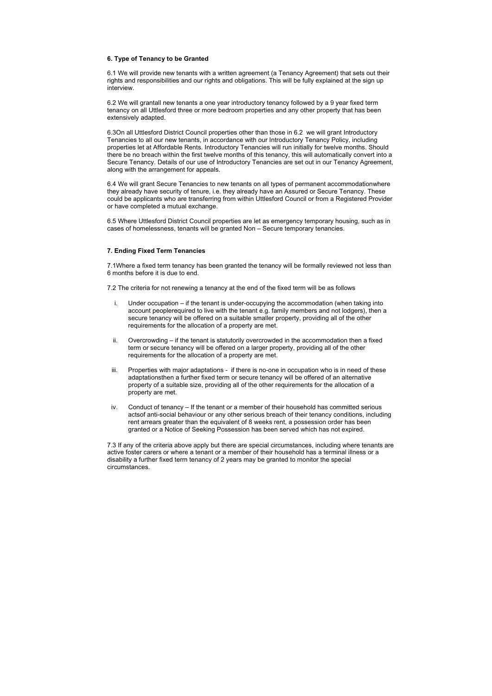#### **6. Type of Tenancy to be Granted**

6.1 We will provide new tenants with a written agreement (a Tenancy Agreement) that sets out their rights and responsibilities and our rights and obligations. This will be fully explained at the sign up interview.

6.2 We will grantall new tenants a one year introductory tenancy followed by a 9 year fixed term tenancy on all Uttlesford three or more bedroom properties and any other property that has been extensively adapted.

6.3On all Uttlesford District Council properties other than those in 6.2 we will grant Introductory Tenancies to all our new tenants, in accordance with our Introductory Tenancy Policy, including properties let at Affordable Rents. Introductory Tenancies will run initially for twelve months. Should there be no breach within the first twelve months of this tenancy, this will automatically convert into a Secure Tenancy. Details of our use of Introductory Tenancies are set out in our Tenancy Agreement, along with the arrangement for appeals.

6.4 We will grant Secure Tenancies to new tenants on all types of permanent accommodationwhere they already have security of tenure, i.e. they already have an Assured or Secure Tenancy. These could be applicants who are transferring from within Uttlesford Council or from a Registered Provider or have completed a mutual exchange.

6.5 Where Uttlesford District Council properties are let as emergency temporary housing, such as in cases of homelessness, tenants will be granted Non – Secure temporary tenancies.

#### **7. Ending Fixed Term Tenancies**

7.1Where a fixed term tenancy has been granted the tenancy will be formally reviewed not less than 6 months before it is due to end.

7.2 The criteria for not renewing a tenancy at the end of the fixed term will be as follows

- i. Under occupation if the tenant is under-occupying the accommodation (when taking into account peoplerequired to live with the tenant e.g. family members and not lodgers), then a secure tenancy will be offered on a suitable smaller property, providing all of the other requirements for the allocation of a property are met.
- ii. Overcrowding if the tenant is statutorily overcrowded in the accommodation then a fixed term or secure tenancy will be offered on a larger property, providing all of the other requirements for the allocation of a property are met.
- iii. Properties with major adaptations if there is no-one in occupation who is in need of these adaptationsthen a further fixed term or secure tenancy will be offered of an alternative property of a suitable size, providing all of the other requirements for the allocation of a property are met.
- iv. Conduct of tenancy If the tenant or a member of their household has committed serious actsof anti-social behaviour or any other serious breach of their tenancy conditions, including rent arrears greater than the equivalent of 8 weeks rent, a possession order has been granted or a Notice of Seeking Possession has been served which has not expired.

7.3 If any of the criteria above apply but there are special circumstances, including where tenants are active foster carers or where a tenant or a member of their household has a terminal illness or a disability a further fixed term tenancy of 2 years may be granted to monitor the special circumstances.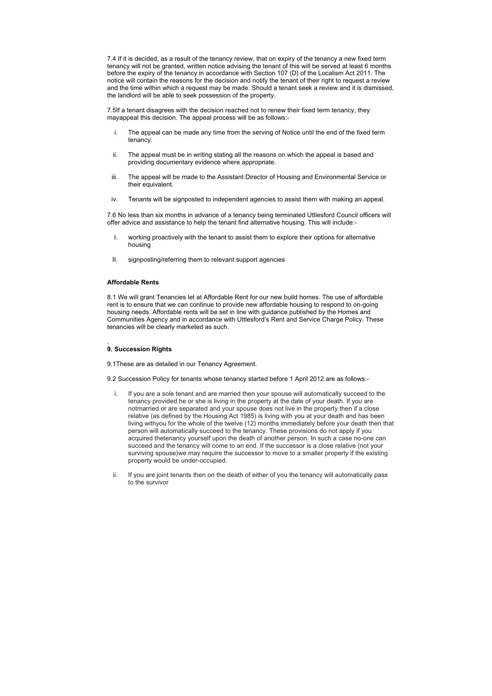7.4 If it is decided, as a result of the tenancy review, that on expiry of the tenancy a new fixed term tenancy will not be granted, written notice advising the tenant of this will be served at least 6 months before the expiry of the tenancy in accordance with Section 107 (D) of the Localism Act 2011. The notice will contain the reasons for the decision and notify the tenant of their right to request a review and the time within which a request may be made. Should a tenant seek a review and it is dismissed, the landlord will be able to seek possession of the property.

7.5If a tenant disagrees with the decision reached not to renew their fixed term tenancy, they mayappeal this decision. The appeal process will be as follows:-

- i. The appeal can be made any time from the serving of Notice until the end of the fixed term tenancy.
- ii. The appeal must be in writing stating all the reasons on which the appeal is based and providing documentary evidence where appropriate.
- iii. The appeal will be made to the Assistant Director of Housing and Environmental Service or their equivalent.
- iv. Tenants will be signposted to independent agencies to assist them with making an appeal.

7.6 No less than six months in advance of a tenancy being terminated Uttlesford Council officers will offer advice and assistance to help the tenant find alternative housing. This will include:-

- I. working proactively with the tenant to assist them to explore their options for alternative housing
- II. signposting/referring them to relevant support agencies

## **Affordable Rents**

8.1 We will grant Tenancies let at Affordable Rent for our new build homes. The use of affordable rent is to ensure that we can continue to provide new affordable housing to respond to on-going housing needs. Affordable rents will be set in line with guidance published by the Homes and Communities Agency and in accordance with Uttlesford's Rent and Service Charge Policy. These tenancies will be clearly marketed as such.

#### . **9. Succession Rights**

9.1These are as detailed in our Tenancy Agreement.

9.2 Succession Policy for tenants whose tenancy started before 1 April 2012 are as follows:-

- i. If you are a sole tenant and are married then your spouse will automatically succeed to the tenancy provided he or she is living in the property at the date of your death. If you are notmarried or are separated and your spouse does not live in the property then if a close relative (as defined by the Housing Act 1985) is living with you at your death and has been living withyou for the whole of the twelve (12) months immediately before your death then that person will automatically succeed to the tenancy. These provisions do not apply if you acquired thetenancy yourself upon the death of another person. In such a case no-one can succeed and the tenancy will come to an end. If the successor is a close relative (not your surviving spouse)we may require the successor to move to a smaller property if the existing property would be under-occupied.
- ii. If you are joint tenants then on the death of either of you the tenancy will automatically pass to the survivor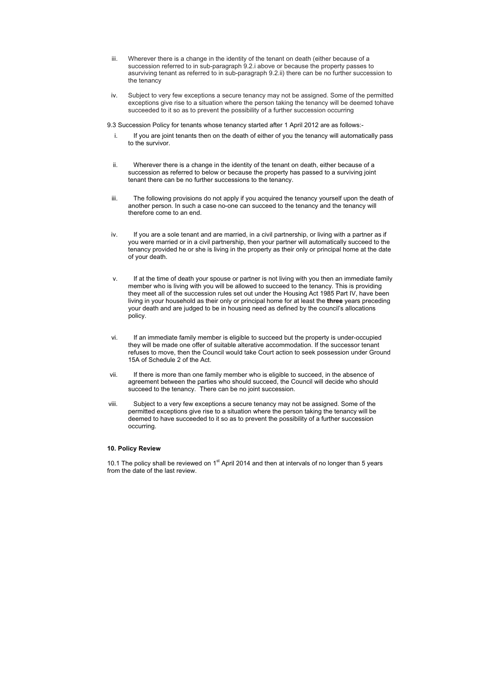- iii. Wherever there is a change in the identity of the tenant on death (either because of a succession referred to in sub-paragraph 9.2.i above or because the property passes to asurviving tenant as referred to in sub-paragraph 9.2.ii) there can be no further succession to the tenancy
- iv. Subject to very few exceptions a secure tenancy may not be assigned. Some of the permitted exceptions give rise to a situation where the person taking the tenancy will be deemed tohave succeeded to it so as to prevent the possibility of a further succession occurring

9.3 Succession Policy for tenants whose tenancy started after 1 April 2012 are as follows:-

- i. If you are joint tenants then on the death of either of you the tenancy will automatically pass to the survivor.
- ii. Wherever there is a change in the identity of the tenant on death, either because of a succession as referred to below or because the property has passed to a surviving joint tenant there can be no further successions to the tenancy.
- iii. The following provisions do not apply if you acquired the tenancy yourself upon the death of another person. In such a case no-one can succeed to the tenancy and the tenancy will therefore come to an end.
- iv. If you are a sole tenant and are married, in a civil partnership, or living with a partner as if you were married or in a civil partnership, then your partner will automatically succeed to the tenancy provided he or she is living in the property as their only or principal home at the date of your death.
- v. If at the time of death your spouse or partner is not living with you then an immediate family member who is living with you will be allowed to succeed to the tenancy. This is providing they meet all of the succession rules set out under the Housing Act 1985 Part IV, have been living in your household as their only or principal home for at least the **three** years preceding your death and are judged to be in housing need as defined by the council's allocations policy.
- vi. If an immediate family member is eligible to succeed but the property is under-occupied they will be made one offer of suitable alterative accommodation. If the successor tenant refuses to move, then the Council would take Court action to seek possession under Ground 15A of Schedule 2 of the Act.
- vii. If there is more than one family member who is eligible to succeed, in the absence of agreement between the parties who should succeed, the Council will decide who should succeed to the tenancy. There can be no joint succession.
- viii. Subject to a very few exceptions a secure tenancy may not be assigned. Some of the permitted exceptions give rise to a situation where the person taking the tenancy will be deemed to have succeeded to it so as to prevent the possibility of a further succession occurring.

10.1 The policy shall be reviewed on 1<sup>st</sup> April 2014 and then at intervals of no longer than 5 years from the date of the last review.

## **10. Policy Review**